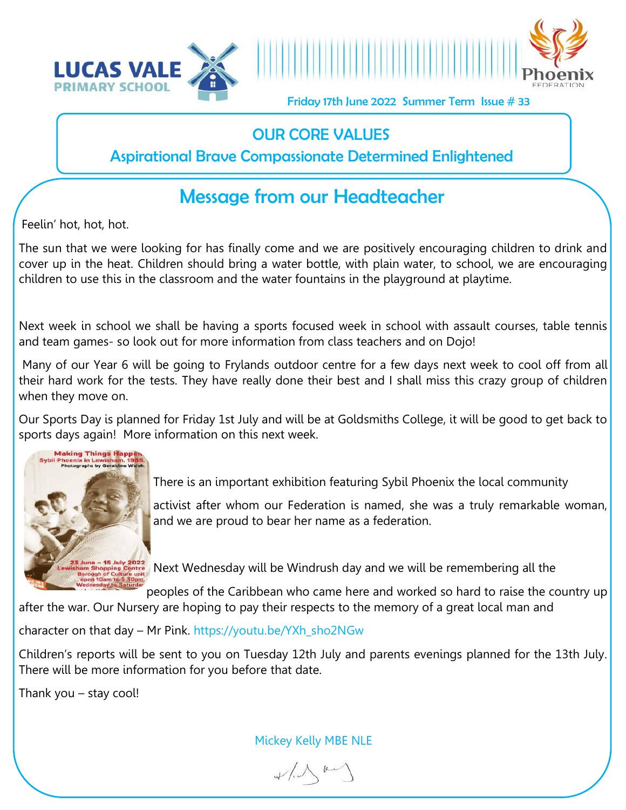



Friday 17th June 2022 Summer Term Issue # 33

## OUR CORE VALUES

Aspirational Brave Compassionate Determined Enlightened

## Message from our Headteacher

Feelin' hot, hot, hot.

The sun that we were looking for has finally come and we are positively encouraging children to drink and cover up in the heat. Children should bring a water bottle, with plain water, to school, we are encouraging children to use this in the classroom and the water fountains in the playground at playtime.

Next week in school we shall be having a sports focused week in school with assault courses, table tennis and team games- so look out for more information from class teachers and on Dojo!

Many of our Year 6 will be going to Frylands outdoor centre for a few days next week to cool off from all their hard work for the tests. They have really done their best and I shall miss this crazy group of children when they move on.

Our Sports Day is planned for Friday 1st July and will be at Goldsmiths College, it will be good to get back to sports days again! More information on this next week.



There is an important exhibition featuring Sybil Phoenix the local community

activist after whom our Federation is named, she was a truly remarkable woman, and we are proud to bear her name as a federation.

Wes - 15 July 2022<br>m Shopping Centre Next Wednesday will be Windrush day and we will be remembering all the

peoples of the Caribbean who came here and worked so hard to raise the country up after the war. Our Nursery are hoping to pay their respects to the memory of a great local man and

character on that day – Mr Pink. https://youtu.be/YXh\_sho2NGw

Children's reports will be sent to you on Tuesday 12th July and parents evenings planned for the 13th July. There will be more information for you before that date.

Thank you – stay cool!

Mickey Kelly MBE NLE

 $\sqrt{1-\frac{\mu}{2}}$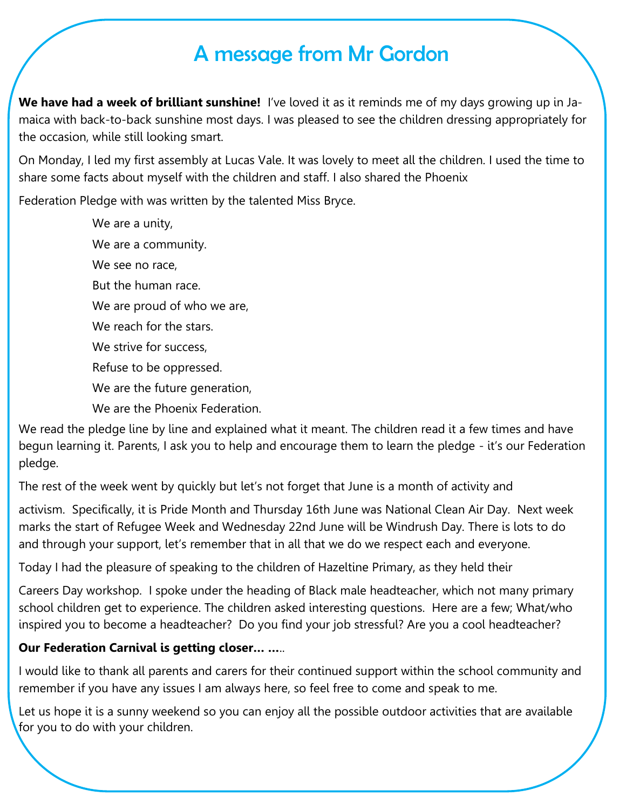## A message from Mr Gordon

**We have had a week of brilliant sunshine!** I've loved it as it reminds me of my days growing up in Jamaica with back-to-back sunshine most days. I was pleased to see the children dressing appropriately for the occasion, while still looking smart.

On Monday, I led my first assembly at Lucas Vale. It was lovely to meet all the children. I used the time to share some facts about myself with the children and staff. I also shared the Phoenix

Federation Pledge with was written by the talented Miss Bryce.

We are a unity, We are a community. We see no race, But the human race. We are proud of who we are, We reach for the stars. We strive for success, Refuse to be oppressed. We are the future generation, We are the Phoenix Federation.

We read the pledge line by line and explained what it meant. The children read it a few times and have begun learning it. Parents, I ask you to help and encourage them to learn the pledge - it's our Federation pledge.

The rest of the week went by quickly but let's not forget that June is a month of activity and

activism. Specifically, it is Pride Month and Thursday 16th June was National Clean Air Day. Next week marks the start of Refugee Week and Wednesday 22nd June will be Windrush Day. There is lots to do and through your support, let's remember that in all that we do we respect each and everyone.

Today I had the pleasure of speaking to the children of Hazeltine Primary, as they held their

Careers Day workshop. I spoke under the heading of Black male headteacher, which not many primary school children get to experience. The children asked interesting questions. Here are a few; What/who inspired you to become a headteacher? Do you find your job stressful? Are you a cool headteacher?

#### **Our Federation Carnival is getting closer… …**..

I would like to thank all parents and carers for their continued support within the school community and remember if you have any issues I am always here, so feel free to come and speak to me.

Let us hope it is a sunny weekend so you can enjoy all the possible outdoor activities that are available for you to do with your children.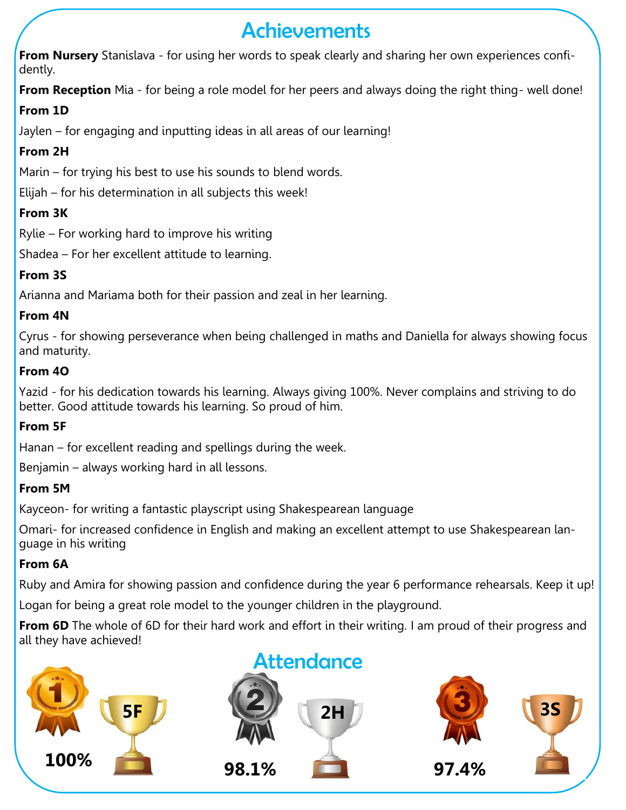## Achievements

**From Nursery** Stanislava - for using her words to speak clearly and sharing her own experiences confidently.

**From Reception** Mia - for being a role model for her peers and always doing the right thing- well done!

### **From 1D**

Jaylen – for engaging and inputting ideas in all areas of our learning!

## **From 2H**

Marin – for trying his best to use his sounds to blend words.

Elijah – for his determination in all subjects this week!

## **From 3K**

Rylie – For working hard to improve his writing

Shadea – For her excellent attitude to learning.

## **From 3S**

Arianna and Mariama both for their passion and zeal in her learning.

### **From 4N**

Cyrus - for showing perseverance when being challenged in maths and Daniella for always showing focus and maturity.

#### **From 4O**

Yazid - for his dedication towards his learning. Always giving 100%. Never complains and striving to do better. Good attitude towards his learning. So proud of him.

## **From 5F**

Hanan – for excellent reading and spellings during the week.

Benjamin – always working hard in all lessons.

## **From 5M**

Kayceon- for writing a fantastic playscript using Shakespearean language

Omari- for increased confidence in English and making an excellent attempt to use Shakespearean language in his writing

## **From 6A**

Ruby and Amira for showing passion and confidence during the year 6 performance rehearsals. Keep it up!

Logan for being a great role model to the younger children in the playground.

**From 6D** The whole of 6D for their hard work and effort in their writing. I am proud of their progress and all they have achieved!





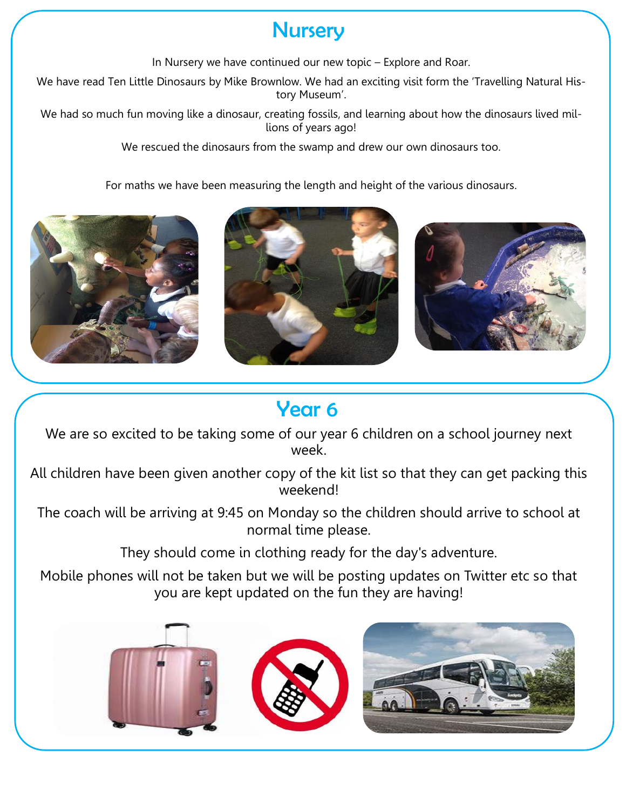## **Nursery**

In Nursery we have continued our new topic – Explore and Roar.

We have read Ten Little Dinosaurs by Mike Brownlow. We had an exciting visit form the 'Travelling Natural History Museum'.

We had so much fun moving like a dinosaur, creating fossils, and learning about how the dinosaurs lived millions of years ago!

We rescued the dinosaurs from the swamp and drew our own dinosaurs too.

For maths we have been measuring the length and height of the various dinosaurs.







## Year 6

We are so excited to be taking some of our year 6 children on a school journey next week.

All children have been given another copy of the kit list so that they can get packing this weekend!

The coach will be arriving at 9:45 on Monday so the children should arrive to school at normal time please.

They should come in clothing ready for the day's adventure.

Mobile phones will not be taken but we will be posting updates on Twitter etc so that you are kept updated on the fun they are having!

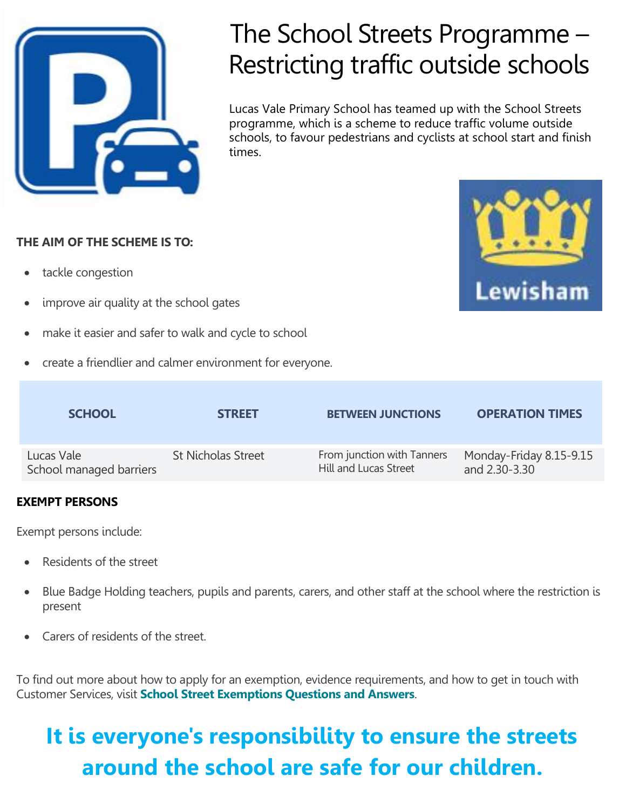

# The School Streets Programme – Restricting traffic outside schools

Lucas Vale Primary School has teamed up with the School Streets programme, which is a scheme to reduce traffic volume outside schools, to favour pedestrians and cyclists at school start and finish times.

#### **THE AIM OF THE SCHEME IS TO:**

- tackle congestion
- improve air quality at the school gates
- make it easier and safer to walk and cycle to school
- create a friendlier and calmer environment for everyone.

| <b>SCHOOL</b>           | <b>STREET</b>             | <b>BETWEEN JUNCTIONS</b>   | <b>OPERATION TIMES</b>  |
|-------------------------|---------------------------|----------------------------|-------------------------|
| Lucas Vale              | <b>St Nicholas Street</b> | From junction with Tanners | Monday-Friday 8.15-9.15 |
| School managed barriers |                           | Hill and Lucas Street      | and 2.30-3.30           |

#### **EXEMPT PERSONS**

Exempt persons include:

- Residents of the street
- Blue Badge Holding teachers, pupils and parents, carers, and other staff at the school where the restriction is present
- Carers of residents of the street.

To find out more about how to apply for an exemption, evidence requirements, and how to get in touch with Customer Services, visit **[School Street Exemptions Questions and Answers](https://lewisham.gov.uk/myservices/parking/schoolstreets/exemptpersons)**.

## **It is everyone's responsibility to ensure the streets around the school are safe for our children.**

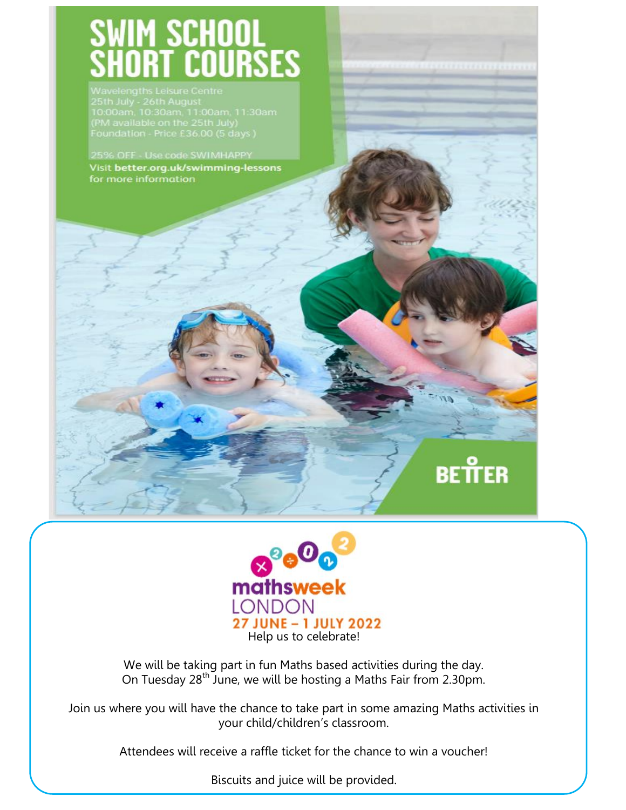# WIM SCHOOL<br>HORT COURSES

25th July - 26th August<br>10:00am, 10:30am, 11:00am, 11:30am<br>(PM available on the 25th July)<br>Foundation - Price £36.00 (5 days )

25% OFF - Use code SWIMHAPPY Visit better.org.uk/swimming-lessons for more information



BETTER

We will be taking part in fun Maths based activities during the day. On Tuesday 28<sup>th</sup> June, we will be hosting a Maths Fair from 2.30pm.

Join us where you will have the chance to take part in some amazing Maths activities in your child/children's classroom.

Attendees will receive a raffle ticket for the chance to win a voucher!

Biscuits and juice will be provided.